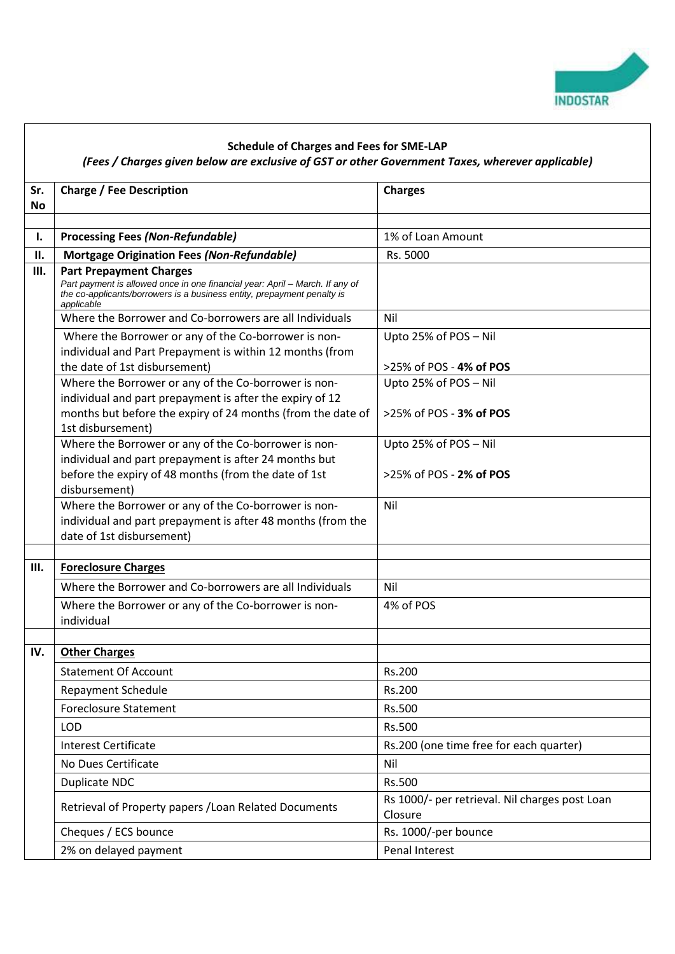

## **Schedule of Charges and Fees for SME-LAP**

## *(Fees / Charges given below are exclusive of GST or other Government Taxes, wherever applicable)*

| Sr.       | <b>Charge / Fee Description</b>                                                                                                                                       | <b>Charges</b>                                            |
|-----------|-----------------------------------------------------------------------------------------------------------------------------------------------------------------------|-----------------------------------------------------------|
| <b>No</b> |                                                                                                                                                                       |                                                           |
| Ι.        | <b>Processing Fees (Non-Refundable)</b>                                                                                                                               | 1% of Loan Amount                                         |
| П.        |                                                                                                                                                                       | Rs. 5000                                                  |
| III.      | <b>Mortgage Origination Fees (Non-Refundable)</b><br><b>Part Prepayment Charges</b>                                                                                   |                                                           |
|           | Part payment is allowed once in one financial year: April - March. If any of<br>the co-applicants/borrowers is a business entity, prepayment penalty is<br>applicable |                                                           |
|           | Where the Borrower and Co-borrowers are all Individuals                                                                                                               | Nil                                                       |
|           | Where the Borrower or any of the Co-borrower is non-<br>individual and Part Prepayment is within 12 months (from<br>the date of 1st disbursement)                     | Upto 25% of POS - Nil<br>>25% of POS - 4% of POS          |
|           | Where the Borrower or any of the Co-borrower is non-                                                                                                                  | Upto 25% of POS - Nil                                     |
|           | individual and part prepayment is after the expiry of 12                                                                                                              |                                                           |
|           | months but before the expiry of 24 months (from the date of<br>1st disbursement)                                                                                      | >25% of POS - 3% of POS                                   |
|           | Where the Borrower or any of the Co-borrower is non-                                                                                                                  | Upto 25% of POS - Nil                                     |
|           | individual and part prepayment is after 24 months but                                                                                                                 |                                                           |
|           | before the expiry of 48 months (from the date of 1st                                                                                                                  | >25% of POS - 2% of POS                                   |
|           | disbursement)<br>Where the Borrower or any of the Co-borrower is non-                                                                                                 | Nil                                                       |
|           | individual and part prepayment is after 48 months (from the                                                                                                           |                                                           |
|           | date of 1st disbursement)                                                                                                                                             |                                                           |
|           |                                                                                                                                                                       |                                                           |
| Ш.        | <b>Foreclosure Charges</b>                                                                                                                                            |                                                           |
|           | Where the Borrower and Co-borrowers are all Individuals                                                                                                               | Nil                                                       |
|           | Where the Borrower or any of the Co-borrower is non-<br>individual                                                                                                    | 4% of POS                                                 |
|           |                                                                                                                                                                       |                                                           |
| IV.       | <b>Other Charges</b>                                                                                                                                                  |                                                           |
|           | <b>Statement Of Account</b>                                                                                                                                           | Rs.200                                                    |
|           | <b>Repayment Schedule</b>                                                                                                                                             | Rs.200                                                    |
|           | <b>Foreclosure Statement</b>                                                                                                                                          | Rs.500                                                    |
|           | <b>LOD</b>                                                                                                                                                            | Rs.500                                                    |
|           | <b>Interest Certificate</b>                                                                                                                                           | Rs.200 (one time free for each quarter)                   |
|           | No Dues Certificate                                                                                                                                                   | Nil                                                       |
|           | Duplicate NDC                                                                                                                                                         | Rs.500                                                    |
|           | Retrieval of Property papers / Loan Related Documents                                                                                                                 | Rs 1000/- per retrieval. Nil charges post Loan<br>Closure |
|           | Cheques / ECS bounce                                                                                                                                                  | Rs. 1000/-per bounce                                      |
|           | 2% on delayed payment                                                                                                                                                 | Penal Interest                                            |